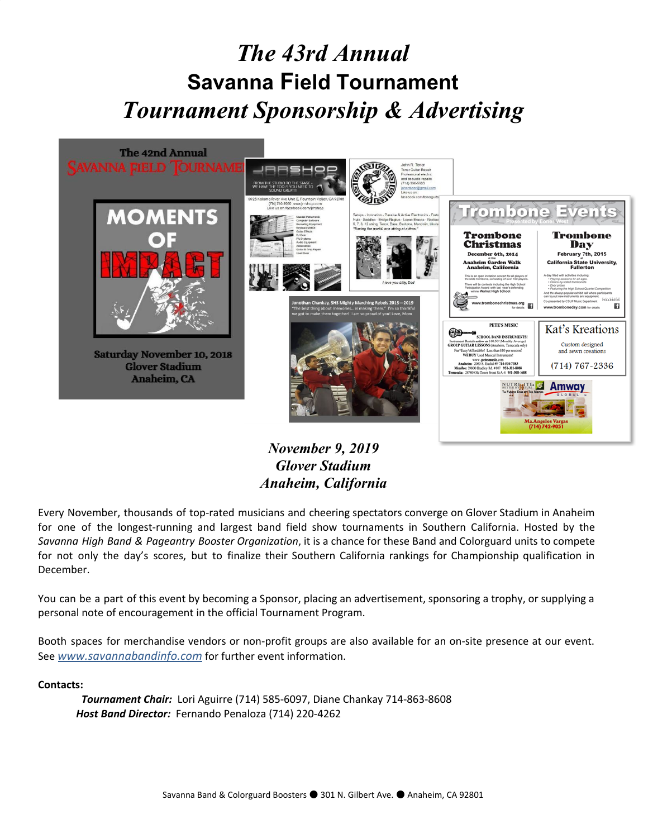



*November 9, 2019 Glover Stadium Anaheim, California*

Every November, thousands of top-rated musicians and cheering spectators converge on Glover Stadium in Anaheim for one of the longest-running and largest band field show tournaments in Southern California. Hosted by the *Savanna High Band & Pageantry Booster Organization*, it is a chance for these Band and Colorguard units to compete for not only the day's scores, but to finalize their Southern California rankings for Championship qualification in December.

You can be a part of this event by becoming a Sponsor, placing an advertisement, sponsoring a trophy, or supplying a personal note of encouragement in the official Tournament Program.

Booth spaces for merchandise vendors or non-profit groups are also available for an on-site presence at our event. See *[www.savannabandinfo.com](http://www.savannabandinfo.com/)* for further event information.

### **Contacts:**

*Tournament Chair:* Lori Aguirre (714) 585-6097, Diane Chankay 714-863-8608 *Host Band Director:* Fernando Penaloza (714) 220-4262